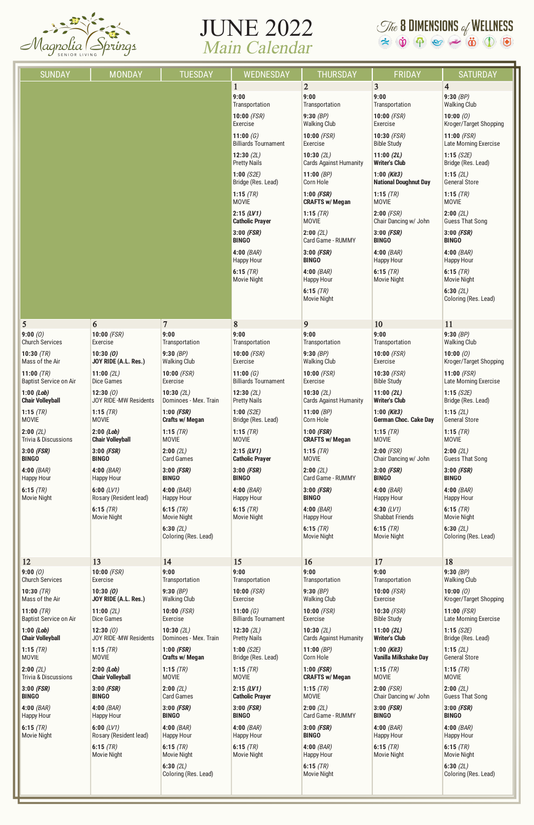

## JUNE 2022 Main Calendar

## $\mathcal{I}$  & **B** DIMENSIONS of WELLNESS<br>  $\approx$   $\dot{\mathbf{\Phi}}$   $\approx$   $\approx$   $\ddot{\mathbf{\Phi}}$   $\approx$   $\ddot{\mathbf{\Phi}}$   $\approx$   $\ddot{\mathbf{\Phi}}$

| <b>SUNDAY</b>                   | <b>MONDAY</b>           | <b>TUESDAY</b>                      | <b>WEDNESDAY</b>                           | <b>THURSDAY</b>                            | <b>FRIDAY</b>                                 | <b>SATURDAY</b>                        |
|---------------------------------|-------------------------|-------------------------------------|--------------------------------------------|--------------------------------------------|-----------------------------------------------|----------------------------------------|
|                                 |                         |                                     | 1<br>9:00                                  | $\overline{2}$<br>9:00                     | $\overline{\mathbf{3}}$<br>9:00               | $\overline{4}$<br>9:30 $(BP)$          |
|                                 |                         |                                     | Transportation                             | Transportation                             | Transportation                                | <b>Walking Club</b>                    |
|                                 |                         |                                     | $10:00$ (FSR)<br>Exercise                  | 9:30 $(BP)$<br><b>Walking Club</b>         | 10:00 $(FSR)$<br>Exercise                     | 10:00 $(0)$<br>Kroger/Target Shopping  |
|                                 |                         |                                     | 11:00 $(G)$<br><b>Billiards Tournament</b> | $10:00$ (FSR)<br>Exercise                  | 10:30 $(FSR)$<br><b>Bible Study</b>           | $11:00$ (FSR)<br>Late Morning Exercise |
|                                 |                         |                                     | 12:30(2L)<br><b>Pretty Nails</b>           | 10:30(2L)<br><b>Cards Against Humanity</b> | 11:00(2L)<br><b>Writer's Club</b>             | 1:15(S2E)<br>Bridge (Res. Lead)        |
|                                 |                         |                                     | 1:00 $(S2E)$<br>Bridge (Res. Lead)         | 11:00 $(BP)$<br>Corn Hole                  | $1:00$ (Kit3)<br><b>National Doughnut Day</b> | 1:15(2L)<br><b>General Store</b>       |
|                                 |                         |                                     | 1:15 $(TR)$<br><b>MOVIE</b>                | $1:00$ (FSR)<br><b>CRAFTS w/ Megan</b>     | 1:15 $(TR)$<br><b>MOVIE</b>                   | 1:15 $(TR)$<br><b>MOVIE</b>            |
|                                 |                         |                                     | 2:15(LVI)<br><b>Catholic Prayer</b>        | 1:15 $(TR)$<br><b>MOVIE</b>                | $2:00$ (FSR)<br>Chair Dancing w/ John         | 2:00(2L)<br><b>Guess That Song</b>     |
|                                 |                         |                                     | $3:00$ (FSR)<br><b>BINGO</b>               | 2:00(2L)<br>Card Game - RUMMY              | $3:00$ (FSR)<br><b>BINGO</b>                  | $3:00$ (FSR)<br><b>BINGO</b>           |
|                                 |                         |                                     | 4:00(BAR)<br><b>Happy Hour</b>             | $3:00$ (FSR)<br><b>BINGO</b>               | $4:00$ (BAR)<br><b>Happy Hour</b>             | 4:00(BAR)<br><b>Happy Hour</b>         |
|                                 |                         |                                     | 6:15(TR)<br><b>Movie Night</b>             | $4:00$ (BAR)<br><b>Happy Hour</b>          | 6:15 $(TR)$<br>Movie Night                    | 6:15 $(TR)$<br><b>Movie Night</b>      |
|                                 |                         |                                     |                                            | 6:15 $(TR)$<br>Movie Night                 |                                               | 6:30(2L)<br>Coloring (Res. Lead)       |
| $5\overline{)}$                 | 6                       | $\overline{7}$                      | 8                                          | 9                                          | 10                                            | 11                                     |
| 9:00(0)                         | 10:00 (FSR)             | 9:00                                | 9:00                                       | 9:00                                       | 9:00                                          | 9:30(BP)                               |
| <b>Church Services</b>          | Exercise                | Transportation                      | Transportation                             | Transportation                             | Transportation                                | <b>Walking Club</b>                    |
| 10:30 $(TR)$                    | 10:30(0)                | 9:30 $(BP)$                         | $10:00$ (FSR)                              | 9:30(P)                                    | 10:00 $(FSR)$                                 | 10:00 $(0)$                            |
| Mass of the Air                 | JOY RIDE (A.L. Res.)    | <b>Walking Club</b>                 | Exercise                                   | <b>Walking Club</b>                        | Exercise                                      | Kroger/Target Shopping                 |
| 11:00 $(TR)$                    | 11:00 $(2L)$            | 10:00 $(FSR)$                       | 11:00 $(G)$                                | 10:00 $(FSR)$                              | 10:30 $(FSR)$                                 | $11:00$ (FSR)                          |
| <b>Baptist Service on Air</b>   | <b>Dice Games</b>       | Exercise                            | <b>Billiards Tournament</b>                | Exercise                                   | <b>Bible Study</b>                            | Late Morning Exercise                  |
| $1:00$ (Lob)                    | 12:30 $(0)$             | 10:30 $(2L)$                        | 12:30 $(2L)$                               | 10:30 $(2L)$                               | 11:00(2L)                                     | 1:15(S2E)                              |
| <b>Chair Volleyball</b>         | JOY RIDE-MW Residents   | Dominoes - Mex. Train               | <b>Pretty Nails</b>                        | <b>Cards Against Humanity</b>              | <b>Writer's Club</b>                          | Bridge (Res. Lead)                     |
| 1:15 $(TR)$                     | 1:15 $(TR)$             | $1:00$ (FSR)                        | 1:00 $(S2E)$                               | 11:00 $(BP)$                               | $1:00$ (Kit3)                                 | 1:15(2L)                               |
| <b>MOVIE</b>                    | <b>MOVIE</b>            | Crafts w/ Megan                     | Bridge (Res. Lead)                         | Corn Hole                                  | <b>German Choc. Cake Day</b>                  | <b>General Store</b>                   |
| 2:00(2L)                        | $2:00$ (Lob)            | 1:15 $(TR)$                         | 1:15 $(TR)$                                | $1:00$ (FSR)                               | 1:15 $(TR)$                                   | 1:15 $(TR)$                            |
| <b>Trivia &amp; Discussions</b> | <b>Chair Volleyball</b> | <b>MOVIE</b>                        | <b>MOVIE</b>                               | <b>CRAFTS w/ Megan</b>                     | <b>MOVIE</b>                                  | <b>MOVIE</b>                           |
| $3:00$ (FSR)                    | $3:00$ (FSR)            | 2:00(2L)                            | 2:15(LVI)                                  | 1:15(TR)                                   | $2:00$ (FSR)                                  | 2:00(2L)                               |
| <b>BINGO</b>                    | <b>BINGO</b>            | <b>Card Games</b>                   | <b>Catholic Prayer</b>                     | <b>MOVIE</b>                               | Chair Dancing w/ John                         | <b>Guess That Song</b>                 |
| $4:00$ (BAR)                    | 4:00(BAR)               | $3:00$ (FSR)                        | $3:00$ (FSR)                               | 2:00(2L)                                   | $3:00$ (FSR)                                  | $3:00$ (FSR)                           |
| Happy Hour                      | <b>Happy Hour</b>       | <b>BINGO</b>                        | <b>BINGO</b>                               | Card Game - RUMMY                          | <b>BINGO</b>                                  | <b>BINGO</b>                           |
| 6:15 $(TR)$                     | 6:00 $(LVI)$            | $4:00$ (BAR)                        | $4:00$ (BAR)                               | $3:00$ (FSR)                               | $4:00$ (BAR)                                  | 4:00(BAR)                              |
| Movie Night                     | Rosary (Resident lead)  | <b>Happy Hour</b>                   | Happy Hour                                 | <b>BINGO</b>                               | Happy Hour                                    | <b>Happy Hour</b>                      |
|                                 | 6:15 $(TR)$             | 6:15 $(TR)$                         | 6:15 $(TR)$                                | $4:00$ (BAR)                               | 4:30 $(LV1)$                                  | 6:15 $(TR)$                            |
|                                 | <b>Movie Night</b>      | Movie Night                         | Movie Night                                | <b>Happy Hour</b>                          | <b>Shabbat Friends</b>                        | <b>Movie Night</b>                     |
|                                 |                         | 6:30(2L)<br>Coloring (Res. Lead)    |                                            | 6:15 $(TR)$<br>Movie Night                 | 6:15 $(TR)$<br>Movie Night                    | 6:30(2L)<br>Coloring (Res. Lead)       |
| 12                              | 13                      | 14                                  | 15                                         | 16                                         | 17                                            | 18                                     |
| 9:00(0)                         | $10:00$ (FSR)           | 9:00                                | 9:00                                       | 9:00                                       | 9:00                                          | 9:30(BP)                               |
| <b>Church Services</b>          | Exercise                | Transportation                      | Transportation                             | Transportation                             | Transportation                                | <b>Walking Club</b>                    |
| 10:30 $(TR)$                    | 10:30(0)                | 9:30(BP)                            | $10:00$ (FSR)                              | 9:30 $(BP)$                                | $10:00$ (FSR)                                 | 10:00(0)                               |
| Mass of the Air                 | JOY RIDE (A.L. Res.)    | <b>Walking Club</b>                 | Exercise                                   | <b>Walking Club</b>                        | Exercise                                      | Kroger/Target Shopping                 |
| 11:00 $(TR)$                    | 11:00 $(2L)$            | $10:00$ (FSR)                       | 11:00 $(G)$                                | $10:00$ (FSR)                              | 10:30 $(FSR)$                                 | $11:00$ (FSR)                          |
| <b>Baptist Service on Air</b>   | <b>Dice Games</b>       | Exercise                            | <b>Billiards Tournament</b>                | Exercise                                   | <b>Bible Study</b>                            | Late Morning Exercise                  |
| $1:00$ (Lob)                    | 12:30 $(0)$             | 10:30(2L)                           | 12:30 $(2L)$                               | 10:30(2L)                                  | 11:00(2L)                                     | 1:15(S2E)                              |
| <b>Chair Volleyball</b>         | JOY RIDE-MW Residents   | Dominoes - Mex. Train               | <b>Pretty Nails</b>                        | <b>Cards Against Humanity</b>              | <b>Writer's Club</b>                          | Bridge (Res. Lead)                     |
| 1:15 $(TR)$                     | 1:15 $(TR)$             | $1:00$ (FSR)                        | 1:00 $(S2E)$                               | 11:00 $(BP)$                               | $1:00$ (Kit3)                                 | 1:15(2L)                               |
| <b>MOVIE</b>                    | <b>MOVIE</b>            | Crafts w/ Megan                     | Bridge (Res. Lead)                         | Corn Hole                                  | Vanilla Milkshake Day                         | <b>General Store</b>                   |
| 2:00(2L)                        | $2:00$ (Lob)            | 1:15 $(TR)$                         | 1:15 $(TR)$                                | $1:00$ (FSR)                               | 1:15 $(TR)$                                   | 1:15 $(TR)$                            |
| <b>Trivia &amp; Discussions</b> | <b>Chair Volleyball</b> | <b>MOVIE</b>                        | <b>MOVIE</b>                               | <b>CRAFTS w/ Megan</b>                     | <b>MOVIE</b>                                  | <b>MOVIE</b>                           |
| $3:00$ (FSR)                    | $3:00$ (FSR)            | 2:00(2L)                            | 2:15(LVI)                                  | 1:15 $(TR)$                                | $2:00$ (FSR)                                  | 2:00(2L)                               |
| <b>BINGO</b>                    | <b>BINGO</b>            | <b>Card Games</b>                   | <b>Catholic Prayer</b>                     | <b>MOVIE</b>                               | Chair Dancing w/ John                         | <b>Guess That Song</b>                 |
| $4:00$ (BAR)                    | 4:00(BAR)               | $3:00$ (FSR)                        | $3:00$ (FSR)                               | 2:00(2L)                                   | $3:00$ (FSR)                                  | $3:00$ (FSR)                           |
| Happy Hour                      | <b>Happy Hour</b>       | <b>BINGO</b>                        | <b>BINGO</b>                               | Card Game - RUMMY                          | <b>BINGO</b>                                  | <b>BINGO</b>                           |
| 6:15 $(TR)$                     | 6:00 $(LV1)$            | $4:00$ (BAR)                        | $4:00$ (BAR)                               | $3:00$ (FSR)                               | $4:00$ (BAR)                                  | 4:00(BAR)                              |
| Movie Night                     | Rosary (Resident lead)  | <b>Happy Hour</b>                   | Happy Hour                                 | <b>BINGO</b>                               | Happy Hour                                    | <b>Happy Hour</b>                      |
|                                 | 6:15(TR)                | 6:15 $(TR)$                         | 6:15 $(TR)$                                | $4:00$ (BAR)                               | 6:15 $(TR)$                                   | 6:15(TR)                               |
|                                 | Movie Night             | Movie Night                         | <b>Movie Night</b>                         | <b>Happy Hour</b>                          | Movie Night                                   | <b>Movie Night</b>                     |
|                                 |                         | 6:30 $(2L)$<br>Coloring (Res. Lead) |                                            | 6:15 $(TR)$<br>Movie Night                 |                                               | 6:30(2L)<br>Coloring (Res. Lead)       |
|                                 |                         |                                     |                                            |                                            |                                               |                                        |